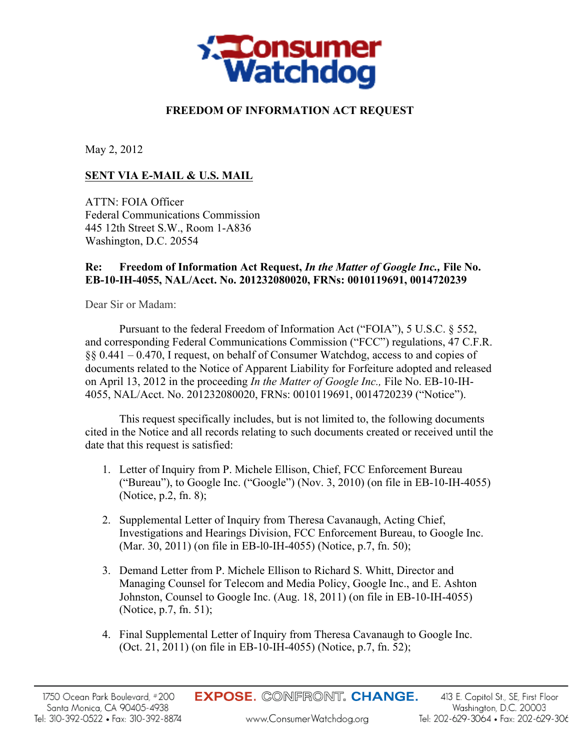

## **FREEDOM OF INFORMATION ACT REQUEST**

May 2, 2012

## **SENT VIA E-MAIL & U.S. MAIL**

ATTN: FOIA Officer Federal Communications Commission 445 12th Street S.W., Room 1-A836 Washington, D.C. 20554

## **Re: Freedom of Information Act Request,** *In the Matter of Google Inc.,* **File No. EB-10-IH-4055, NAL/Acct. No. 201232080020, FRNs: 0010119691, 0014720239**

Dear Sir or Madam:

Pursuant to the federal Freedom of Information Act ("FOIA"), 5 U.S.C. § 552, and corresponding Federal Communications Commission ("FCC") regulations, 47 C.F.R. §§ 0.441 – 0.470, I request, on behalf of Consumer Watchdog, access to and copies of documents related to the Notice of Apparent Liability for Forfeiture adopted and released on April 13, 2012 in the proceeding *In the Matter of Google Inc.,* File No. EB-10-IH-4055, NAL/Acct. No. 201232080020, FRNs: 0010119691, 0014720239 ("Notice").

This request specifically includes, but is not limited to, the following documents cited in the Notice and all records relating to such documents created or received until the date that this request is satisfied:

- 1. Letter of Inquiry from P. Michele Ellison, Chief, FCC Enforcement Bureau ("Bureau"), to Google Inc. ("Google") (Nov. 3, 2010) (on file in EB-10-IH-4055) (Notice, p.2, fn. 8);
- 2. Supplemental Letter of Inquiry from Theresa Cavanaugh, Acting Chief, Investigations and Hearings Division, FCC Enforcement Bureau, to Google Inc. (Mar. 30, 2011) (on file in EB-l0-IH-4055) (Notice, p.7, fn. 50);
- 3. Demand Letter from P. Michele Ellison to Richard S. Whitt, Director and Managing Counsel for Telecom and Media Policy, Google Inc., and E. Ashton Johnston, Counsel to Google Inc. (Aug. 18, 2011) (on file in EB-10-IH-4055) (Notice, p.7, fn. 51);
- 4. Final Supplemental Letter of Inquiry from Theresa Cavanaugh to Google Inc. (Oct. 21, 2011) (on file in EB-10-IH-4055) (Notice, p.7, fn. 52);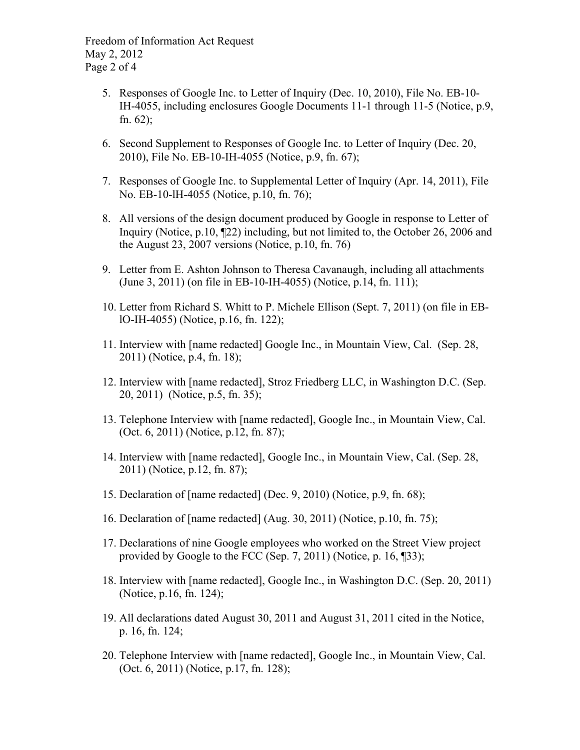Freedom of Information Act Request May 2, 2012 Page 2 of 4

- 5. Responses of Google Inc. to Letter of Inquiry (Dec. 10, 2010), File No. EB-10- IH-4055, including enclosures Google Documents 11-1 through 11-5 (Notice, p.9, fn. 62);
- 6. Second Supplement to Responses of Google Inc. to Letter of Inquiry (Dec. 20, 2010), File No. EB-10-IH-4055 (Notice, p.9, fn. 67);
- 7. Responses of Google Inc. to Supplemental Letter of Inquiry (Apr. 14, 2011), File No. EB-10-lH-4055 (Notice, p.10, fn. 76);
- 8. All versions of the design document produced by Google in response to Letter of Inquiry (Notice, p.10, ¶22) including, but not limited to, the October 26, 2006 and the August 23, 2007 versions (Notice, p.10, fn. 76)
- 9. Letter from E. Ashton Johnson to Theresa Cavanaugh, including all attachments (June 3, 2011) (on file in EB-10-IH-4055) (Notice, p.14, fn. 111);
- 10. Letter from Richard S. Whitt to P. Michele Ellison (Sept. 7, 2011) (on file in EBlO-IH-4055) (Notice, p.16, fn. 122);
- 11. Interview with [name redacted] Google Inc., in Mountain View, Cal. (Sep. 28, 2011) (Notice, p.4, fn. 18);
- 12. Interview with [name redacted], Stroz Friedberg LLC, in Washington D.C. (Sep. 20, 2011) (Notice, p.5, fn. 35);
- 13. Telephone Interview with [name redacted], Google Inc., in Mountain View, Cal. (Oct. 6, 2011) (Notice, p.12, fn. 87);
- 14. Interview with [name redacted], Google Inc., in Mountain View, Cal. (Sep. 28, 2011) (Notice, p.12, fn. 87);
- 15. Declaration of [name redacted] (Dec. 9, 2010) (Notice, p.9, fn. 68);
- 16. Declaration of [name redacted] (Aug. 30, 2011) (Notice, p.10, fn. 75);
- 17. Declarations of nine Google employees who worked on the Street View project provided by Google to the FCC (Sep. 7, 2011) (Notice, p. 16, ¶33);
- 18. Interview with [name redacted], Google Inc., in Washington D.C. (Sep. 20, 2011) (Notice, p.16, fn. 124);
- 19. All declarations dated August 30, 2011 and August 31, 2011 cited in the Notice, p. 16, fn. 124;
- 20. Telephone Interview with [name redacted], Google Inc., in Mountain View, Cal. (Oct. 6, 2011) (Notice, p.17, fn. 128);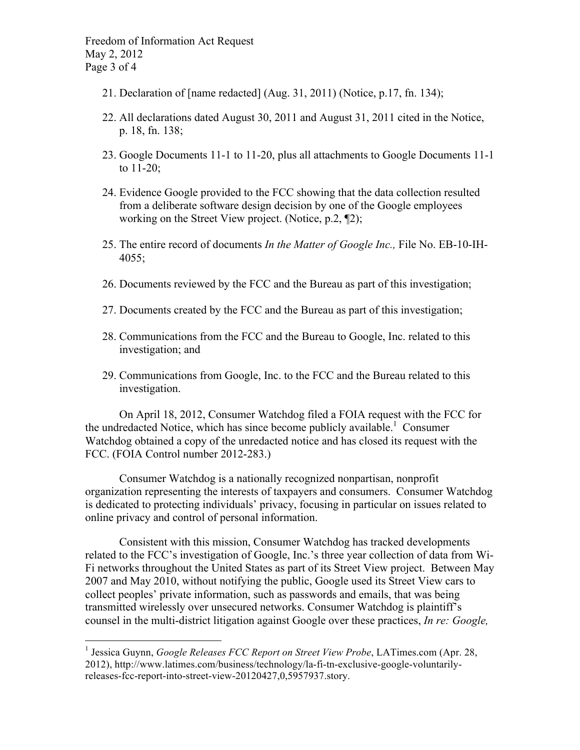Freedom of Information Act Request May 2, 2012 Page 3 of 4

- 21. Declaration of [name redacted] (Aug. 31, 2011) (Notice, p.17, fn. 134);
- 22. All declarations dated August 30, 2011 and August 31, 2011 cited in the Notice, p. 18, fn. 138;
- 23. Google Documents 11-1 to 11-20, plus all attachments to Google Documents 11-1 to 11-20;
- 24. Evidence Google provided to the FCC showing that the data collection resulted from a deliberate software design decision by one of the Google employees working on the Street View project. (Notice, p.2, ¶2);
- 25. The entire record of documents *In the Matter of Google Inc.,* File No. EB-10-IH-4055;
- 26. Documents reviewed by the FCC and the Bureau as part of this investigation;
- 27. Documents created by the FCC and the Bureau as part of this investigation;
- 28. Communications from the FCC and the Bureau to Google, Inc. related to this investigation; and
- 29. Communications from Google, Inc. to the FCC and the Bureau related to this investigation.

On April 18, 2012, Consumer Watchdog filed a FOIA request with the FCC for the undredacted Notice, which has since become publicly available. <sup>1</sup> Consumer Watchdog obtained a copy of the unredacted notice and has closed its request with the FCC. (FOIA Control number 2012-283.)

Consumer Watchdog is a nationally recognized nonpartisan, nonprofit organization representing the interests of taxpayers and consumers. Consumer Watchdog is dedicated to protecting individuals' privacy, focusing in particular on issues related to online privacy and control of personal information.

Consistent with this mission, Consumer Watchdog has tracked developments related to the FCC's investigation of Google, Inc.'s three year collection of data from Wi-Fi networks throughout the United States as part of its Street View project. Between May 2007 and May 2010, without notifying the public, Google used its Street View cars to collect peoples' private information, such as passwords and emails, that was being transmitted wirelessly over unsecured networks. Consumer Watchdog is plaintiff's counsel in the multi-district litigation against Google over these practices, *In re: Google,* 

<sup>&</sup>lt;sup>1</sup> Jessica Guynn, *Google Releases FCC Report on Street View Probe*, LATimes.com (Apr. 28, 2012), http://www.latimes.com/business/technology/la-fi-tn-exclusive-google-voluntarilyreleases-fcc-report-into-street-view-20120427,0,5957937.story.